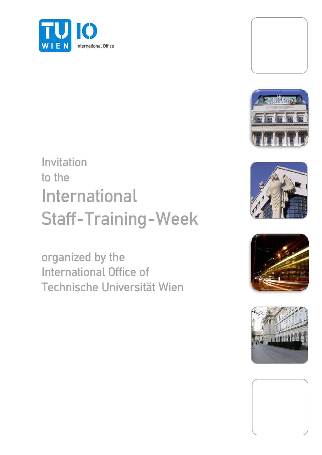



## Invitation to the International Staff-Training-Week

organized by the International Office of Technische Universität Wien